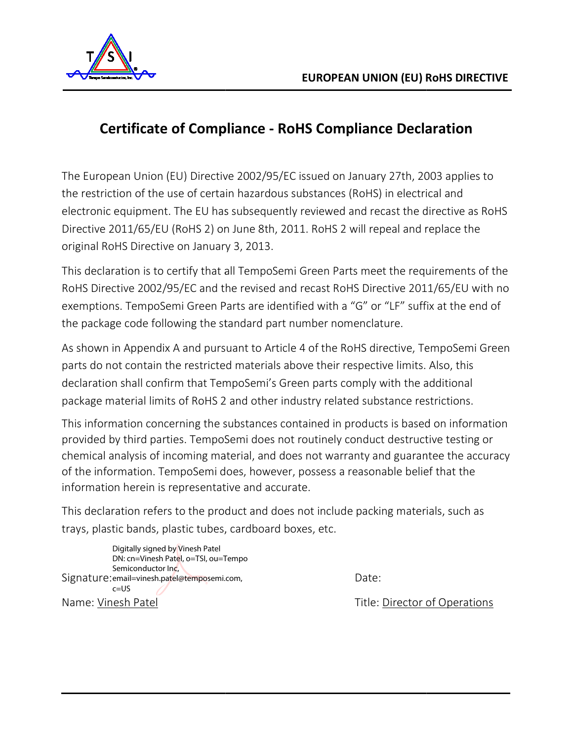

## **Certificate of Compliance Compliance - RoHS Compliance Declaration**

The European Union (EU) Directive 2002/95/EC issued on January 27th, 2003 applies to the restriction of the use of certain hazardous substances (RoHS) in electrical and electronic equipment. The EU has subsequently reviewed and recast the directive as RoHS Directive 2011/65/EU (RoHS 2) on June 8th, 2011. RoHS 2 will repeal and replace the original RoHS Directive on January 3, 2013. Union (EU) Directive 2002/95/EC issued on January 27th, 2003 applies to<br>of the use of certain hazardous substances (RoHS) in electrical and<br>ipment. The EU has subsequently reviewed and recast the directive as RoHS<br>/65/EU ( The European Union (EU) Directive 2002/95/EC issued on January 27th, 2003 applies to<br>the restriction of the use of certain hazardous substances (RoHS) in electrical and<br>electronic equipment. The EU has subsequently reviewe

This declaration is to certify that all TempoSemi Green Parts meet the requirements of the RoHS Directive 2002/95/EC and the revised and recast RoHS Directive 2011/65/EU with no exemptions. TempoSemi Green Parts are identified with a "G" or "LF" suffix at the end of<br>the package code following the standard part number nomenclature.<br>As shown in Appendix A and pursuant to Article 4 of the RoHS direct the package code following the standard part number nomenclature. exemptions. TempoSemi Green Parts are identified with a "G" or "LF" suffix at the end of<br>the package code following the standard part number nomenclature.<br>As shown in Appendix A and pursuant to Article 4 of the RoHS direct

parts do not contain the restricted materials above their respective limits. Also, this declaration shall confirm that TempoSemi's Green parts comply with the additional package material limits of RoHS 2 and other industry related substance restrictions.

This information concerning the substances contained in products is based on information provided by third parties. TempoSemi does not routinely conduct destructive testing or chemical analysis of incoming material, chemical analysis of incoming material, and does not warranty and guarantee the accuracy of the information. TempoSemi does, however, possess a reasonable belief that the<br>information herein is representative and accurate.<br>This declaration refers to the product and does not include packing materials, such as information herein is representative and accurate. t TempoSemi's Green parts comply with the additional<br>
HS 2 and other industry related substance restrictions.<br>
the substances contained in products is based on information<br>
mpoSemi does not routinely conduct destructive te

This declaration refers to the product and does not include packing mater trays, plastic bands, plastic tubes, cardboard boxes, etc.

Signature: email=vinesh.patel@temposemi.com, Name: Vinesh Patel Digitally signed by Vinesh Patel DN: cn=Vinesh Patel, o=TSI, ou=Tempo Semiconductor Inc,  $c = US$ 

Date:

Title: Director of Operations